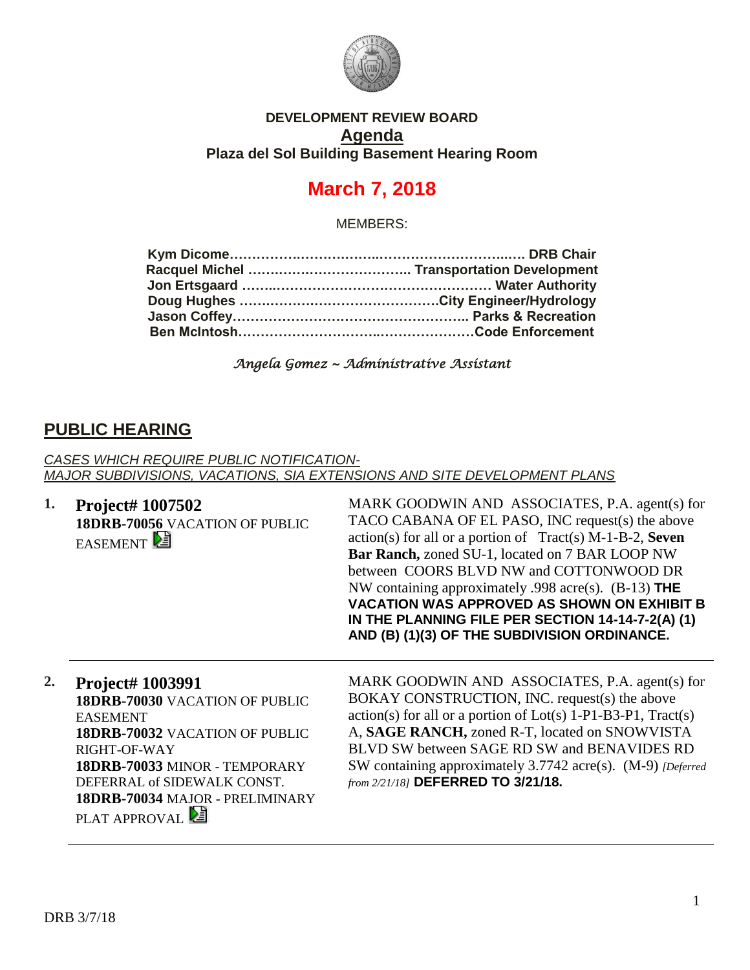

#### **DEVELOPMENT REVIEW BOARD Agenda Plaza del Sol Building Basement Hearing Room**

# **March 7, 2018**

MEMBERS:

*Angela Gomez ~ Administrative Assistant* 

## **PUBLIC HEARING**

*CASES WHICH REQUIRE PUBLIC NOTIFICATION-MAJOR SUBDIVISIONS, VACATIONS, SIA EXTENSIONS AND SITE DEVELOPMENT PLANS*

**1. Project# 1007502 18DRB-70056** VACATION OF PUBLIC **EASEMENT** 

MARK GOODWIN AND ASSOCIATES, P.A. agent(s) for TACO CABANA OF EL PASO, INC request(s) the above action(s) for all or a portion of Tract(s) M-1-B-2, **Seven Bar Ranch,** zoned SU-1, located on 7 BAR LOOP NW between COORS BLVD NW and COTTONWOOD DR NW containing approximately .998 acre(s). (B-13) **THE VACATION WAS APPROVED AS SHOWN ON EXHIBIT B IN THE PLANNING FILE PER SECTION 14-14-7-2(A) (1) AND (B) (1)(3) OF THE SUBDIVISION ORDINANCE.**

#### **2. Project# 1003991**

**18DRB-70030** VACATION OF PUBLIC EASEMENT **18DRB-70032** VACATION OF PUBLIC RIGHT-OF-WAY **18DRB-70033** MINOR - TEMPORARY DEFERRAL of SIDEWALK CONST. **18DRB-70034** MAJOR - PRELIMINARY PLAT APPROVAL

MARK GOODWIN AND ASSOCIATES, P.A. agent(s) for BOKAY CONSTRUCTION, INC. request(s) the above  $action(s)$  for all or a portion of  $Lot(s)$  1-P1-B3-P1, Tract(s) A, **SAGE RANCH,** zoned R-T, located on SNOWVISTA BLVD SW between SAGE RD SW and BENAVIDES RD SW containing approximately 3.7742 acre(s). (M-9) *[Deferred from 2/21/18]* **DEFERRED TO 3/21/18.**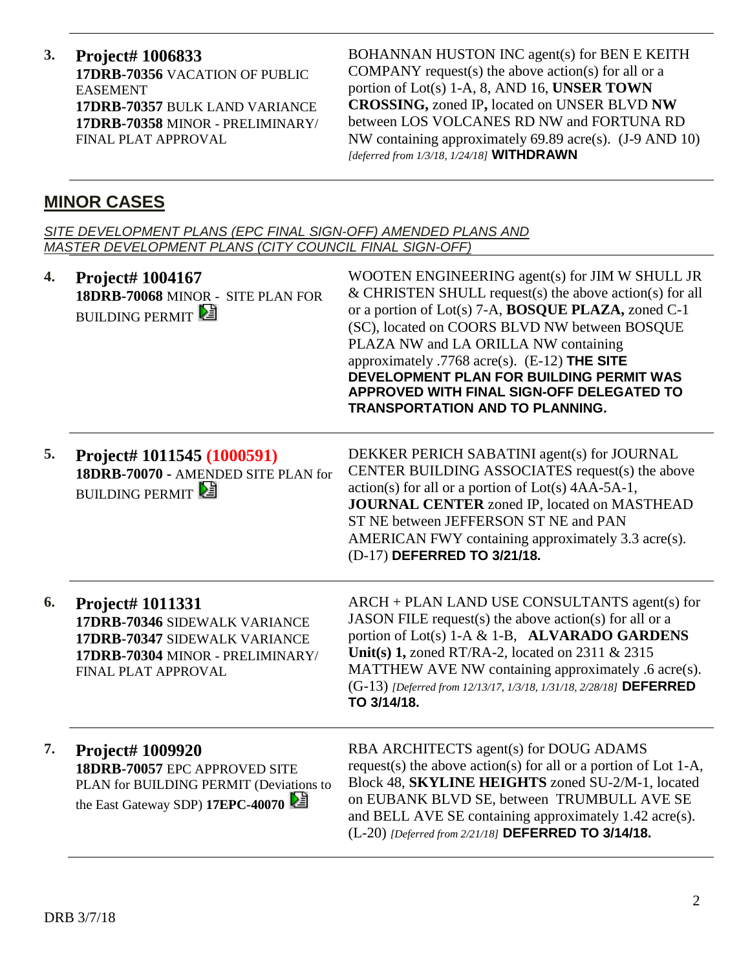**3. Project# 1006833 17DRB-70356** VACATION OF PUBLIC EASEMENT **17DRB-70357** BULK LAND VARIANCE **17DRB-70358** MINOR - PRELIMINARY/ FINAL PLAT APPROVAL

BOHANNAN HUSTON INC agent(s) for BEN E KEITH COMPANY request(s) the above action(s) for all or a portion of Lot(s) 1-A, 8, AND 16, **UNSER TOWN CROSSING,** zoned IP**,** located on UNSER BLVD **NW**  between LOS VOLCANES RD NW and FORTUNA RD NW containing approximately 69.89 acre(s). (J-9 AND 10) *[deferred from 1/3/18, 1/24/18]* **WITHDRAWN**

## **MINOR CASES**

*SITE DEVELOPMENT PLANS (EPC FINAL SIGN-OFF) AMENDED PLANS AND MASTER DEVELOPMENT PLANS (CITY COUNCIL FINAL SIGN-OFF)*

| 4. | <b>Project# 1004167</b><br>18DRB-70068 MINOR - SITE PLAN FOR<br><b>BUILDING PERMIT</b>                                                               | WOOTEN ENGINEERING agent(s) for JIM W SHULL JR<br>$&$ CHRISTEN SHULL request(s) the above action(s) for all<br>or a portion of Lot(s) 7-A, <b>BOSQUE PLAZA</b> , zoned C-1<br>(SC), located on COORS BLVD NW between BOSQUE<br>PLAZA NW and LA ORILLA NW containing<br>approximately .7768 acre(s). $(E-12)$ THE SITE<br>DEVELOPMENT PLAN FOR BUILDING PERMIT WAS<br>APPROVED WITH FINAL SIGN-OFF DELEGATED TO<br><b>TRANSPORTATION AND TO PLANNING.</b> |
|----|------------------------------------------------------------------------------------------------------------------------------------------------------|----------------------------------------------------------------------------------------------------------------------------------------------------------------------------------------------------------------------------------------------------------------------------------------------------------------------------------------------------------------------------------------------------------------------------------------------------------|
| 5. | Project# 1011545 (1000591)<br>18DRB-70070 - AMENDED SITE PLAN for<br><b>BUILDING PERMIT</b>                                                          | DEKKER PERICH SABATINI agent(s) for JOURNAL<br>CENTER BUILDING ASSOCIATES request(s) the above<br>$action(s)$ for all or a portion of $Lot(s)$ 4AA-5A-1,<br><b>JOURNAL CENTER zoned IP, located on MASTHEAD</b><br>ST NE between JEFFERSON ST NE and PAN<br>AMERICAN FWY containing approximately 3.3 acre(s).<br>(D-17) DEFERRED TO 3/21/18.                                                                                                            |
| 6. | <b>Project# 1011331</b><br>17DRB-70346 SIDEWALK VARIANCE<br>17DRB-70347 SIDEWALK VARIANCE<br>17DRB-70304 MINOR - PRELIMINARY/<br>FINAL PLAT APPROVAL | ARCH + PLAN LAND USE CONSULTANTS agent(s) for<br>JASON FILE request(s) the above action(s) for all or a<br>portion of Lot(s) 1-A & 1-B, ALVARADO GARDENS<br>Unit(s) 1, zoned RT/RA-2, located on 2311 $& 2315$<br>MATTHEW AVE NW containing approximately .6 acre(s).<br>(G-13) [Deferred from 12/13/17, 1/3/18, 1/31/18, 2/28/18] DEFERRED<br>TO 3/14/18.                                                                                               |
| 7. | Project# 1009920<br>18DRB-70057 EPC APPROVED SITE<br>PLAN for BUILDING PERMIT (Deviations to<br>the East Gateway SDP) 17EPC-40070                    | RBA ARCHITECTS agent(s) for DOUG ADAMS<br>request(s) the above action(s) for all or a portion of Lot 1-A,<br>Block 48, SKYLINE HEIGHTS zoned SU-2/M-1, located<br>on EUBANK BLVD SE, between TRUMBULL AVE SE<br>and BELL AVE SE containing approximately 1.42 acre(s).<br>(L-20) [Deferred from 2/21/18] DEFERRED TO 3/14/18.                                                                                                                            |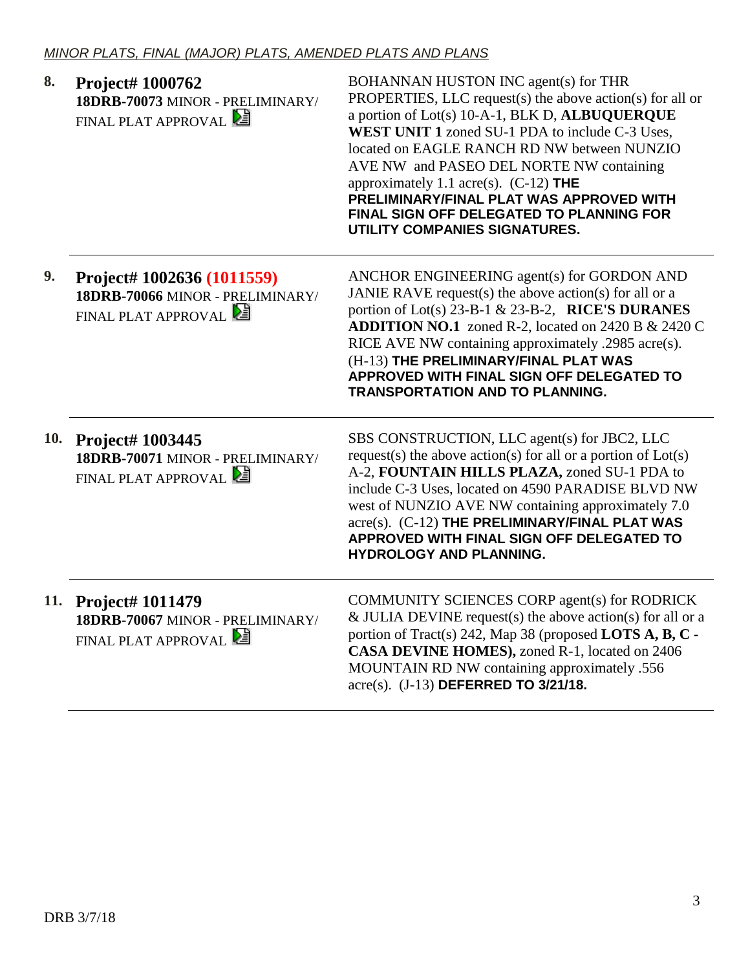| 8.  | Project# 1000762<br>18DRB-70073 MINOR - PRELIMINARY/<br>FINAL PLAT APPROVAL           | BOHANNAN HUSTON INC agent(s) for THR<br>PROPERTIES, LLC request(s) the above action(s) for all or<br>a portion of Lot(s) 10-A-1, BLK D, ALBUQUERQUE<br>WEST UNIT 1 zoned SU-1 PDA to include C-3 Uses,<br>located on EAGLE RANCH RD NW between NUNZIO<br>AVE NW and PASEO DEL NORTE NW containing<br>approximately 1.1 acre(s). (C-12) THE<br>PRELIMINARY/FINAL PLAT WAS APPROVED WITH<br>FINAL SIGN OFF DELEGATED TO PLANNING FOR<br>UTILITY COMPANIES SIGNATURES. |
|-----|---------------------------------------------------------------------------------------|---------------------------------------------------------------------------------------------------------------------------------------------------------------------------------------------------------------------------------------------------------------------------------------------------------------------------------------------------------------------------------------------------------------------------------------------------------------------|
| 9.  | Project# 1002636 (1011559)<br>18DRB-70066 MINOR - PRELIMINARY/<br>FINAL PLAT APPROVAL | ANCHOR ENGINEERING agent(s) for GORDON AND<br>JANIE RAVE request(s) the above action(s) for all or a<br>portion of Lot(s) 23-B-1 & 23-B-2, RICE'S DURANES<br><b>ADDITION NO.1</b> zoned R-2, located on 2420 B & 2420 C<br>RICE AVE NW containing approximately .2985 acre(s).<br>(H-13) THE PRELIMINARY/FINAL PLAT WAS<br>APPROVED WITH FINAL SIGN OFF DELEGATED TO<br><b>TRANSPORTATION AND TO PLANNING.</b>                                                      |
| 10. | Project# 1003445<br>18DRB-70071 MINOR - PRELIMINARY/<br>FINAL PLAT APPROVAL           | SBS CONSTRUCTION, LLC agent(s) for JBC2, LLC<br>request(s) the above action(s) for all or a portion of $Lot(s)$<br>A-2, FOUNTAIN HILLS PLAZA, zoned SU-1 PDA to<br>include C-3 Uses, located on 4590 PARADISE BLVD NW<br>west of NUNZIO AVE NW containing approximately 7.0<br>acre(s). (C-12) THE PRELIMINARY/FINAL PLAT WAS<br>APPROVED WITH FINAL SIGN OFF DELEGATED TO<br>HYDROLOGY AND PLANNING.                                                               |
|     | 11. Project# 1011479<br>18DRB-70067 MINOR - PRELIMINARY/<br>FINAL PLAT APPROVAL       | COMMUNITY SCIENCES CORP agent(s) for RODRICK<br>& JULIA DEVINE request(s) the above action(s) for all or a<br>portion of Tract(s) 242, Map 38 (proposed LOTS A, B, C -<br>CASA DEVINE HOMES), zoned R-1, located on 2406<br>MOUNTAIN RD NW containing approximately .556<br>acre(s). (J-13) DEFERRED TO 3/21/18.                                                                                                                                                    |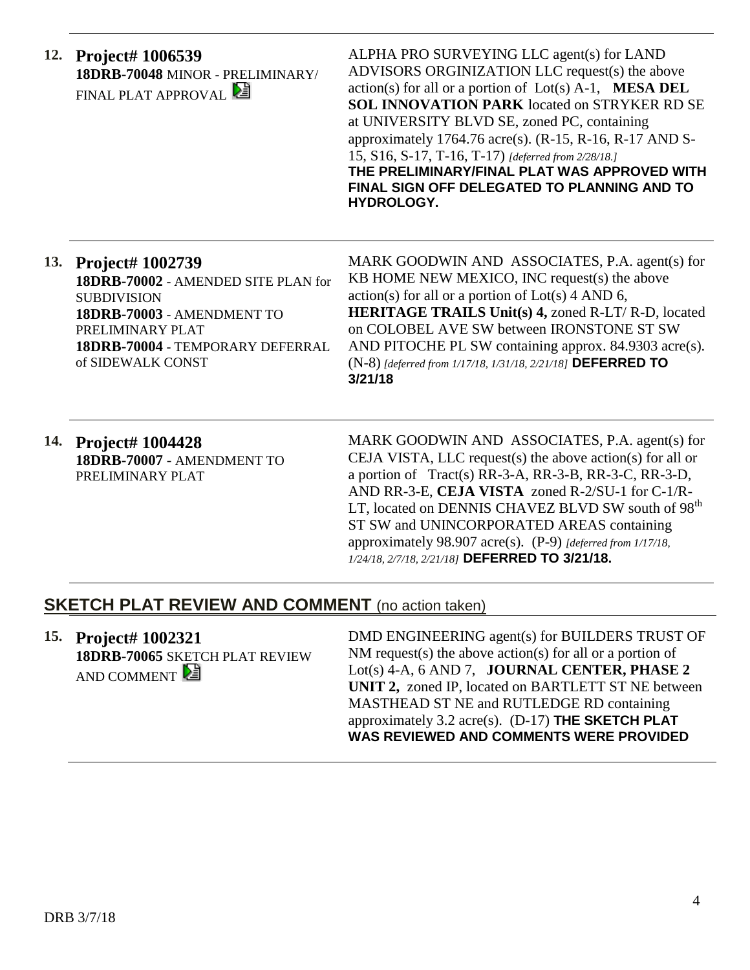|     | 12. Project# 1006539<br>18DRB-70048 MINOR - PRELIMINARY/<br>FINAL PLAT APPROVAL                                                                                                                 | ALPHA PRO SURVEYING LLC agent(s) for LAND<br>ADVISORS ORGINIZATION LLC request(s) the above<br>$action(s)$ for all or a portion of $Lot(s)$ A-1, <b>MESA DEL</b><br><b>SOL INNOVATION PARK</b> located on STRYKER RD SE<br>at UNIVERSITY BLVD SE, zoned PC, containing<br>approximately 1764.76 acre(s). $(R-15, R-16, R-17$ AND S-<br>15, S16, S-17, T-16, T-17) [deferred from 2/28/18.]<br>THE PRELIMINARY/FINAL PLAT WAS APPROVED WITH<br>FINAL SIGN OFF DELEGATED TO PLANNING AND TO<br>HYDROLOGY. |
|-----|-------------------------------------------------------------------------------------------------------------------------------------------------------------------------------------------------|---------------------------------------------------------------------------------------------------------------------------------------------------------------------------------------------------------------------------------------------------------------------------------------------------------------------------------------------------------------------------------------------------------------------------------------------------------------------------------------------------------|
| 13. | <b>Project# 1002739</b><br>18DRB-70002 - AMENDED SITE PLAN for<br><b>SUBDIVISION</b><br>18DRB-70003 - AMENDMENT TO<br>PRELIMINARY PLAT<br>18DRB-70004 - TEMPORARY DEFERRAL<br>of SIDEWALK CONST | MARK GOODWIN AND ASSOCIATES, P.A. agent(s) for<br>KB HOME NEW MEXICO, INC request(s) the above<br>$action(s)$ for all or a portion of $Lot(s)$ 4 AND 6,<br><b>HERITAGE TRAILS Unit(s) 4, zoned R-LT/ R-D, located</b><br>on COLOBEL AVE SW between IRONSTONE ST SW<br>AND PITOCHE PL SW containing approx. 84.9303 acre(s).<br>(N-8) [deferred from 1/17/18, 1/31/18, 2/21/18] DEFERRED TO<br>3/21/18                                                                                                   |
| 14. | <b>Project# 1004428</b>                                                                                                                                                                         | MARK GOODWIN AND ASSOCIATES, P.A. agent(s) for                                                                                                                                                                                                                                                                                                                                                                                                                                                          |

**14. Project# 1004428 18DRB-70007** - AMENDMENT TO PRELIMINARY PLAT

MARK GOODWIN AND ASSOCIATES, P.A. agent(s) for CEJA VISTA, LLC request(s) the above action(s) for all or a portion of Tract(s) RR-3-A, RR-3-B, RR-3-C, RR-3-D, AND RR-3-E, **CEJA VISTA** zoned R-2/SU-1 for C-1/R-LT, located on DENNIS CHAVEZ BLVD SW south of  $98<sup>th</sup>$ ST SW and UNINCORPORATED AREAS containing approximately 98.907 acre(s). (P-9) *[deferred from 1/17/18, 1/24/18, 2/7/18, 2/21/18]* **DEFERRED TO 3/21/18.**

### **SKETCH PLAT REVIEW AND COMMENT** (no action taken)

**15. Project# 1002321 18DRB-70065** SKETCH PLAT REVIEW AND COMMENT

DMD ENGINEERING agent(s) for BUILDERS TRUST OF NM request(s) the above action(s) for all or a portion of Lot(s) 4-A, 6 AND 7, **JOURNAL CENTER, PHASE 2 UNIT 2,** zoned IP, located on BARTLETT ST NE between MASTHEAD ST NE and RUTLEDGE RD containing approximately 3.2 acre(s). (D-17) **THE SKETCH PLAT WAS REVIEWED AND COMMENTS WERE PROVIDED**